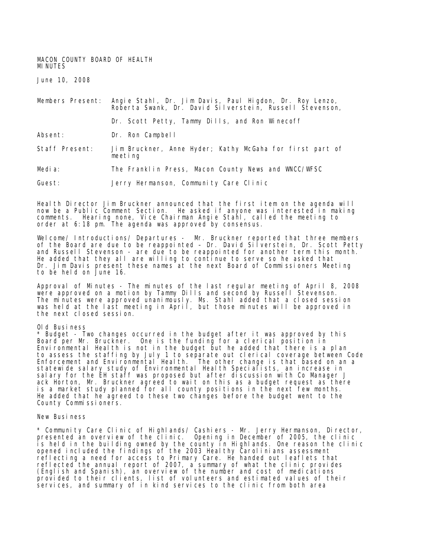MACON COUNTY BOARD OF HEALTH MINUTES

June 10, 2008

Members Present: Angie Stahl, Dr. Jim Davis, Paul Higdon, Dr. Roy Lenzo, Roberta Swank, Dr. David Silverstein, Russell Stevenson, Dr. Scott Petty, Tammy Dills, and Ron Winecoff Absent: Dr. Ron Campbell Staff Present: Jim Bruckner, Anne Hyder; Kathy McGaha for first part of meeting Media: The Franklin Press, Macon County News and WNCC/WFSC

Guest: Jerry Hermanson, Community Care Clinic

Health Director Jim Bruckner announced that the first item on the agenda will now be a Public Comment Section. He asked if anyone was interested in making comments. Hearing none, Vice Chairman Angie Stahl, called the meeting to order at 6:18 pm. The agenda was approved by consensus.

Welcome/ Introductions/ Departures - Mr. Bruckner reported that three members of the Board are due to be reappointed – Dr. David Silverstein, Dr. Scott Petty and Russell Stevenson - are due to be reappointed for another term this month. He added that they all are willing to continue to serve so he asked that Dr. Jim Davis present these names at the next Board of Commissioners Meeting to be held on June 16.

Approval of Minutes - The minutes of the last regular meeting of April 8, 2008 were approved on a motion by Tammy Dills and second by Russell Stevenson. The minutes were approved unanimously. Ms. Stahl added that a closed session was held at the last meeting in April, but those minutes will be approved in the next closed session.

## Old Business

\* Budget - Two changes occurred in the budget after it was approved by this Board per Mr. Bruckner. One is the funding for a clerical position in Environmental Health is not in the budget but he added that there is a plan to assess the staffing by July 1 to separate out clerical coverage between Code Enforcement and Environmental Health. The other change is that based on an a statewide salary study of Environmental Health Specialists, an increase in sal ary for the EH staff was proposed but after discussion with Co Manager J ack Horton, Mr. Bruckner agreed to wait on this as a budget request as there is a market study planned for all county positions in the next few months. He added that he agreed to these two changes before the budget went to the County Commissioners.

## New Business

\* Community Care Clinic of Highlands/ Cashiers - Mr. Jerry Hermanson, Director, presented an overview of the clinic. Opening in December of 2005, the clinic is held in the building owned by the county in Highlands. One reason the clinic opened included the findings of the 2003 Healthy Carolinians assessment reflecting a need for access to Primary Care. He handed out leaflets that reflected the annual report of 2007, a summary of what the clinic provides (English and Spanish), an overview of the number and cost of medications provided to their clients, list of volunteers and estimated values of their services, and summary of in kind services to the clinic from both area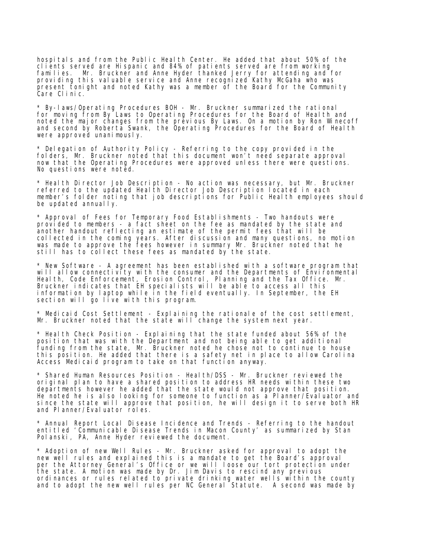hospitals and from the Public Health Center. He added that about 50% of the clients served are Hispanic and 84% of patients served are from working families. Mr. Bruckner and Anne Hyder thanked Jerry for attending and for providing this valuable service and Anne recognized Kathy McGaha who was present tonight and noted Kathy was a member of the Board for the Community Care Clinic.

\* By-laws/Operating Procedures BOH - Mr. Bruckner summarized the rational for moving from By Laws to Operating Procedures for the Board of Health and noted the major changes from the previous By Laws. On a motion by Ron Winecoff and second by Roberta Swank, the Operating Procedures for the Board of Health were approved unanimously.

\* Delegation of Authority Policy - Referring to the copy provided in the folders, Mr. Bruckner noted that this document won't need separate approval now that the Operating Procedures were approved unless there were questions. No questions were noted.

\* Health Director Job Description - No action was necessary, but Mr. Bruckner referred to the updated Health Director Job Description located in each member's folder noting that job descriptions for Public Health employees should be updated annually.

\* Approval of Fees for Temporary Food Establishments - Two handouts were provided to members - a fact sheet on the fee as mandated by the state and another handout reflecting an estimate of the permit fees that will be collected in the coming years. After discussion and many questions, no motion was made to approve the fees however in summary Mr. Bruckner noted that he still has to collect these fees as mandated by the state.

\* New Software - A agreement has been established with a software program that will allow connectivity with the consumer and the Departments of Environmental Health, Code Enforcement, Erosion Control, Planning and the Tax Office. Mr. Bruckner indicates that EH specialists will be able to access all this information by laptop while in the field eventually. In September, the EH section will go live with this program.

\* Medicaid Cost Settlement - Explaining the rationale of the cost settlement, Mr. Bruckner noted that the state will change the system next year.

\* Health Check Position - Explaining that the state funded about 56% of the position that was with the Department and not being able to get additional funding from the state, Mr. Bruckner noted he chose not to continue to house this position. He added that there is a safety net in place to allow Carolina Access Medicaid program to take on that function anyway.

\* Shared Human Resources Position - Health/DSS - Mr. Bruckner reviewed the original plan to have a shared position to address HR needs within these two departments however he added that the state would not approve that position. He noted he is also looking for someone to function as a Planner/Evaluator and since the state will approve that position, he will design it to serve both HR and Planner/Evaluator roles.

\* Annual Report Local Disease Incidence and Trends - Referring to the handout entitled 'Communicable Disease Trends in Macon County' as summarized by Stan Polanski, PA, Anne Hyder reviewed the document.

\* Adoption of new Well Rules - Mr. Bruckner asked for approval to adopt the new well rules and explained this is a mandate to get the Board's approval per the Attorney General's Office or we will loose our tort protection under the state. A motion was made by Dr. Jim Davis to rescind any previous ordinances or rules related to private drinking water wells within the county and to adopt the new well rules per NC General Statute. A second was made by